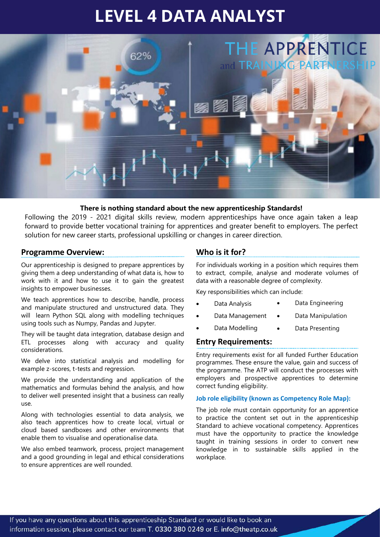# **LEVEL 4 DATA ANALYST**



#### **There is nothing standard about the new apprenticeship Standards!**

Following the 2019 - 2021 digital skills review, modern apprenticeships have once again taken a leap forward to provide better vocational training for apprentices and greater benefit to employers. The perfect solution for new career starts, professional upskilling or changes in career direction.

#### **Programme Overview:**

Our apprenticeship is designed to prepare apprentices by giving them a deep understanding of what data is, how to work with it and how to use it to gain the greatest insights to empower businesses.

We teach apprentices how to describe, handle, process and manipulate structured and unstructured data. They will learn Python SQL along with modelling techniques using tools such as Numpy, Pandas and Jupyter.

They will be taught data integration, database design and ETL processes along with accuracy and quality considerations.

We delve into statistical analysis and modelling for example z-scores, t-tests and regression.

We provide the understanding and application of the mathematics and formulas behind the analysis, and how to deliver well presented insight that a business can really use.

Along with technologies essential to data analysis, we also teach apprentices how to create local, virtual or cloud based sandboxes and other environments that enable them to visualise and operationalise data.

We also embed teamwork, process, project management and a good grounding in legal and ethical considerations to ensure apprentices are well rounded.

## **Who is it for?**

For individuals working in a position which requires them to extract, compile, analyse and moderate volumes of data with a reasonable degree of complexity.

Key responsibilities which can include:

- Data Engineering
- Data Management Data Manipulation
- Data Modelling Data Presenting

# **Entry Requirements:**

• Data Analysis

Entry requirements exist for all funded Further Education programmes. These ensure the value, gain and success of the programme. The ATP will conduct the processes with employers and prospective apprentices to determine correct funding eligibility.

**Job role eligibility (known as Competency Role Map):** 

The job role must contain opportunity for an apprentice to practice the content set out in the apprenticeship Standard to achieve vocational competency. Apprentices must have the opportunity to practice the knowledge taught in training sessions in order to convert new knowledge in to sustainable skills applied in the workplace.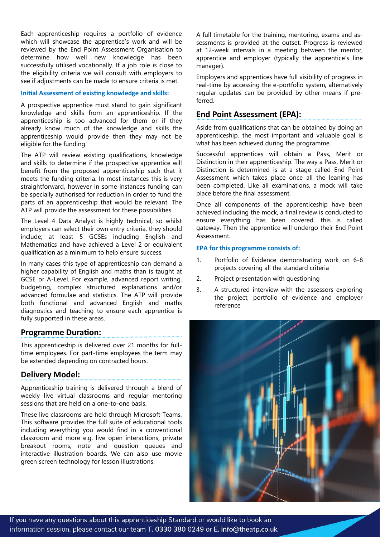Each apprenticeship requires a portfolio of evidence which will showcase the apprentice's work and will be reviewed by the End Point Assessment Organisation to determine how well new knowledge has been successfully utilised vocationally. If a job role is close to the eligibility criteria we will consult with employers to see if adjustments can be made to ensure criteria is met.

#### **Initial Assessment of existing knowledge and skills:**

A prospective apprentice must stand to gain significant knowledge and skills from an apprenticeship. If the apprenticeship is too advanced for them or if they already know much of the knowledge and skills the apprenticeship would provide then they may not be eligible for the funding.

The ATP will review existing qualifications, knowledge and skills to determine if the prospective apprentice will benefit from the proposed apprenticeship such that it meets the funding criteria. In most instances this is very straightforward, however in some instances funding can be specially authorised for reduction in order to fund the parts of an apprenticeship that would be relevant. The ATP will provide the assessment for these possibilities.

The Level 4 Data Analyst is highly technical, so whilst employers can select their own entry criteria, they should include; at least 5 GCSEs including English and Mathematics and have achieved a Level 2 or equivalent qualification as a minimum to help ensure success.

In many cases this type of apprenticeship can demand a higher capability of English and maths than is taught at GCSE or A-Level. For example, advanced report writing, budgeting, complex structured explanations and/or advanced formulae and statistics. The ATP will provide both functional and advanced English and maths diagnostics and teaching to ensure each apprentice is fully supported in these areas.

## **Programme Duration:**

This apprenticeship is delivered over 21 months for fulltime employees. For part-time employees the term may be extended depending on contracted hours.

#### **Delivery Model:**

Apprenticeship training is delivered through a blend of weekly live virtual classrooms and regular mentoring sessions that are held on a one-to-one basis.

These live classrooms are held through Microsoft Teams. This software provides the full suite of educational tools including everything you would find in a conventional classroom and more e.g. live open interactions, private breakout rooms, note and question queues and interactive illustration boards. We can also use movie green screen technology for lesson illustrations.

A full timetable for the training, mentoring, exams and assessments is provided at the outset. Progress is reviewed at 12-week intervals in a meeting between the mentor, apprentice and employer (typically the apprentice's line manager).

Employers and apprentices have full visibility of progress in real-time by accessing the e-portfolio system, alternatively regular updates can be provided by other means if preferred.

## **End Point Assessment (EPA):**

Aside from qualifications that can be obtained by doing an apprenticeship, the most important and valuable goal is what has been achieved during the programme.

Successful apprentices will obtain a Pass, Merit or Distinction in their apprenticeship. The way a Pass, Merit or Distinction is determined is at a stage called End Point Assessment which takes place once all the leaning has been completed. Like all examinations, a mock will take place before the final assessment.

Once all components of the apprenticeship have been achieved including the mock, a final review is conducted to ensure everything has been covered, this is called gateway. Then the apprentice will undergo their End Point Assessment.

#### **EPA for this programme consists of:**

- 1. Portfolio of Evidence demonstrating work on 6-8 projects covering all the standard criteria
- 2. Project presentation with questioning
- 3. A structured interview with the assessors exploring the project, portfolio of evidence and employer reference

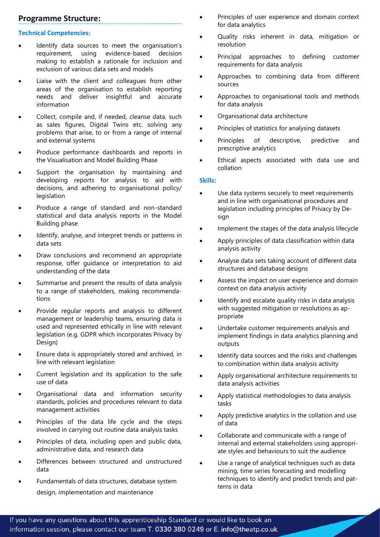# **Programme Structure:**

#### **Technical Competencies:**

- Identify data sources to meet the organisation's requirement, using evidence-based decision making to establish a rationale for inclusion and exclusion of various data sets and models
- Liaise with the client and colleagues from other areas of the organisation to establish reporting needs and deliver insightful and accurate information
- Collect, compile and, if needed, cleanse data, such as sales figures, Digital Twins etc. solving any problems that arise, to or from a range of internal and external systems
- Produce performance dashboards and reports in the Visualisation and Model Building Phase
- Support the organisation by maintaining and developing reports for analysis to aid with decisions, and adhering to organisational policy/ legislation
- Produce a range of standard and non-standard statistical and data analysis reports in the Model Building phase
- Identify, analyse, and interpret trends or patterns in data sets
- Draw conclusions and recommend an appropriate response, offer guidance or interpretation to aid understanding of the data
- Summarise and present the results of data analysis to a range of stakeholders, making recommendations
- Provide regular reports and analysis to different management or leadership teams, ensuring data is used and represented ethically in line with relevant legislation (e.g. GDPR which incorporates Privacy by Design)
- Ensure data is appropriately stored and archived, in line with relevant legislation
- Current legislation and its application to the safe use of data
- Organisational data and information security standards, policies and procedures relevant to data management activities
- Principles of the data life cycle and the steps involved in carrying out routine data analysis tasks
- Principles of data, including open and public data, administrative data, and research data
- Differences between structured and unstructured data
- Fundamentals of data structures, database system design, implementation and maintenance
- Principles of user experience and domain context for data analytics
- Quality risks inherent in data, mitigation or resolution
- Principal approaches to defining customer requirements for data analysis
- Approaches to combining data from different sources
- Approaches to organisational tools and methods for data analysis
- Organisational data architecture
- Principles of statistics for analysing datasets
- Principles of descriptive, predictive and prescriptive analytics
- Ethical aspects associated with data use and collation

#### **Skills:**

- Use data systems securely to meet requirements and in line with organisational procedures and legislation including principles of Privacy by Design
- Implement the stages of the data analysis lifecycle
- Apply principles of data classification within data analysis activity
- Analyse data sets taking account of different data structures and database designs
- Assess the impact on user experience and domain context on data analysis activity
- Identify and escalate quality risks in data analysis with suggested mitigation or resolutions as appropriate
- Undertake customer requirements analysis and implement findings in data analytics planning and outputs
- Identify data sources and the risks and challenges to combination within data analysis activity
- Apply organisational architecture requirements to data analysis activities
- Apply statistical methodologies to data analysis tasks
- Apply predictive analytics in the collation and use of data
- Collaborate and communicate with a range of internal and external stakeholders using appropriate styles and behaviours to suit the audience
- Use a range of analytical techniques such as data mining, time series forecasting and modelling techniques to identify and predict trends and patterns in data